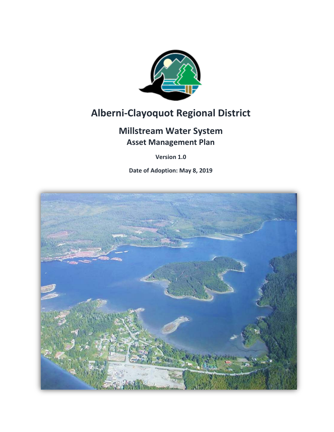

# **Alberni-Clayoquot Regional District**

# **Millstream Water System Asset Management Plan**

**Version 1.0**

**Date of Adoption: May 8, 2019**

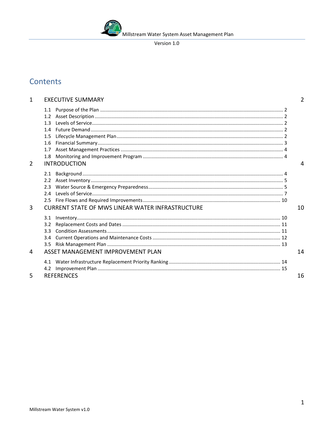#### Version 1.0

# Contents

| 1              | <b>EXECUTIVE SUMMARY</b>                                             | 2  |
|----------------|----------------------------------------------------------------------|----|
|                | 1.3<br>14<br>1.5<br>1.6<br>1.7<br>1.8                                |    |
| $\overline{2}$ | <b>INTRODUCTION</b>                                                  | 4  |
| 3              | 2.3<br>24<br><b>CURRENT STATE OF MWS LINEAR WATER INFRASTRUCTURE</b> | 10 |
| 4              | 3.1<br>3.2<br>२ २<br>3.4<br>3.5<br>ASSET MANAGEMENT IMPROVEMENT PLAN | 14 |
|                |                                                                      |    |
| 5              | 4.2<br><b>REFERENCES</b>                                             | 16 |
|                |                                                                      |    |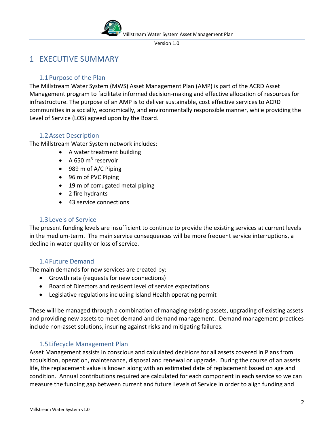Version 1.0

# <span id="page-2-0"></span>1 EXECUTIVE SUMMARY

### 1.1Purpose of the Plan

<span id="page-2-1"></span>The Millstream Water System (MWS) Asset Management Plan (AMP) is part of the ACRD Asset Management program to facilitate informed decision-making and effective allocation of resources for infrastructure. The purpose of an AMP is to deliver sustainable, cost effective services to ACRD communities in a socially, economically, and environmentally responsible manner, while providing the Level of Service (LOS) agreed upon by the Board.

### <span id="page-2-2"></span>1.2Asset Description

The Millstream Water System network includes:

- A water treatment building
- $A 650 m<sup>3</sup>$  reservoir
- 989 m of A/C Piping
- 96 m of PVC Piping
- 19 m of corrugated metal piping
- 2 fire hydrants
- 43 service connections

### 1.3Levels of Service

<span id="page-2-3"></span>The present funding levels are insufficient to continue to provide the existing services at current levels in the medium-term. The main service consequences will be more frequent service interruptions, a decline in water quality or loss of service.

# <span id="page-2-4"></span>1.4Future Demand

The main demands for new services are created by:

- Growth rate (requests for new connections)
- Board of Directors and resident level of service expectations
- Legislative regulations including Island Health operating permit

These will be managed through a combination of managing existing assets, upgrading of existing assets and providing new assets to meet demand and demand management. Demand management practices include non-asset solutions, insuring against risks and mitigating failures.

# <span id="page-2-5"></span>1.5Lifecycle Management Plan

Asset Management assists in conscious and calculated decisions for all assets covered in Plans from acquisition, operation, maintenance, disposal and renewal or upgrade. During the course of an assets life, the replacement value is known along with an estimated date of replacement based on age and condition. Annual contributions required are calculated for each component in each service so we can measure the funding gap between current and future Levels of Service in order to align funding and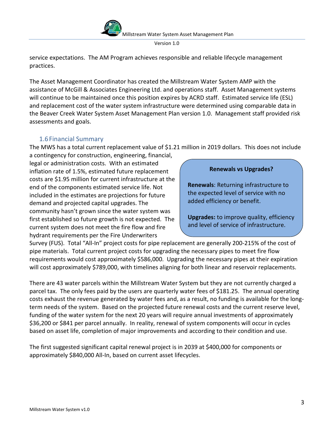Version 1.0

service expectations. The AM Program achieves responsible and reliable lifecycle management practices.

The Asset Management Coordinator has created the Millstream Water System AMP with the assistance of McGill & Associates Engineering Ltd. and operations staff. Asset Management systems will continue to be maintained once this position expires by ACRD staff. Estimated service life (ESL) and replacement cost of the water system infrastructure were determined using comparable data in the Beaver Creek Water System Asset Management Plan version 1.0. Management staff provided risk assessments and goals.

### 1.6Financial Summary

<span id="page-3-0"></span>The MWS has a total current replacement value of \$1.21 million in 2019 dollars. This does not include

a contingency for construction, engineering, financial, legal or administration costs. With an estimated inflation rate of 1.5%, estimated future replacement costs are \$1.95 million for current infrastructure at the end of the components estimated service life. Not included in the estimates are projections for future demand and projected capital upgrades. The community hasn't grown since the water system was first established so future growth is not expected. The current system does not meet the fire flow and fire hydrant requirements per the Fire Underwriters

#### **Renewals vs Upgrades?**

**Renewals**: Returning infrastructure to the expected level of service with no added efficiency or benefit.

**Upgrades:** to improve quality, efficiency and level of service of infrastructure.

Survey (FUS). Total "All-In" project costs for pipe replacement are generally 200-215% of the cost of pipe materials. Total current project costs for upgrading the necessary pipes to meet fire flow requirements would cost approximately \$586,000. Upgrading the necessary pipes at their expiration will cost approximately \$789,000, with timelines aligning for both linear and reservoir replacements.

There are 43 water parcels within the Millstream Water System but they are not currently charged a parcel tax. The only fees paid by the users are quarterly water fees of \$181.25. The annual operating costs exhaust the revenue generated by water fees and, as a result, no funding is available for the longterm needs of the system. Based on the projected future renewal costs and the current reserve level, funding of the water system for the next 20 years will require annual investments of approximately \$36,200 or \$841 per parcel annually. In reality, renewal of system components will occur in cycles based on asset life, completion of major improvements and according to their condition and use.

The first suggested significant capital renewal project is in 2039 at \$400,000 for components or approximately \$840,000 All-In, based on current asset lifecycles.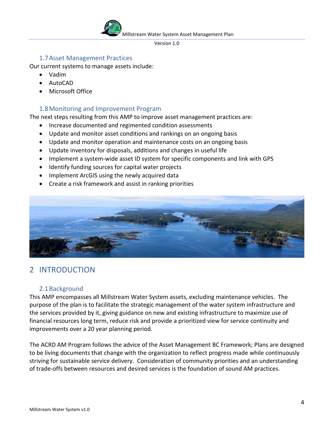Version 1.0

#### <span id="page-4-0"></span>1.7Asset Management Practices

Our current systems to manage assets include:

- Vadim
- AutoCAD
- Microsoft Office

#### <span id="page-4-1"></span>1.8Monitoring and Improvement Program

The next steps resulting from this AMP to improve asset management practices are:

- Increase documented and regimented condition assessments
- Update and monitor asset conditions and rankings on an ongoing basis
- Update and monitor operation and maintenance costs on an ongoing basis
- Update inventory for disposals, additions and changes in useful life
- Implement a system-wide asset ID system for specific components and link with GPS
- Identify funding sources for capital water projects
- Implement ArcGIS using the newly acquired data
- Create a risk framework and assist in ranking priorities



# <span id="page-4-2"></span>2 INTRODUCTION

#### <span id="page-4-3"></span>2.1Background

This AMP encompasses all Millstream Water System assets, excluding maintenance vehicles. The purpose of the plan is to facilitate the strategic management of the water system infrastructure and the services provided by it, giving guidance on new and existing infrastructure to maximize use of financial resources long term, reduce risk and provide a prioritized view for service continuity and improvements over a 20 year planning period.

The ACRD AM Program follows the advice of the Asset Management BC Framework; Plans are designed to be living documents that change with the organization to reflect progress made while continuously striving for sustainable service delivery. Consideration of community priorities and an understanding of trade-offs between resources and desired services is the foundation of sound AM practices.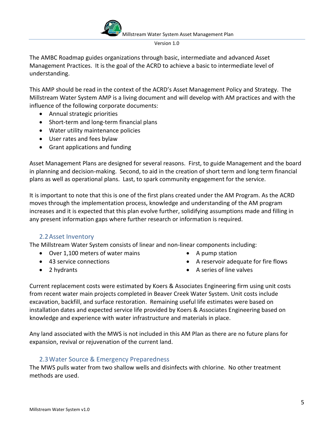Version 1.0

The AMBC Roadmap guides organizations through basic, intermediate and advanced Asset Management Practices. It is the goal of the ACRD to achieve a basic to intermediate level of understanding.

This AMP should be read in the context of the ACRD's Asset Management Policy and Strategy. The Millstream Water System AMP is a living document and will develop with AM practices and with the influence of the following corporate documents:

- Annual strategic priorities
- Short-term and long-term financial plans
- Water utility maintenance policies
- User rates and fees bylaw
- Grant applications and funding

Asset Management Plans are designed for several reasons. First, to guide Management and the board in planning and decision-making. Second, to aid in the creation of short term and long term financial plans as well as operational plans. Last, to spark community engagement for the service.

It is important to note that this is one of the first plans created under the AM Program. As the ACRD moves through the implementation process, knowledge and understanding of the AM program increases and it is expected that this plan evolve further, solidifying assumptions made and filling in any present information gaps where further research or information is required.

#### 2.2Asset Inventory

<span id="page-5-0"></span>The Millstream Water System consists of linear and non-linear components including:

- Over 1,100 meters of water mains
- 43 service connections
- 2 hydrants
- A pump station
- A reservoir adequate for fire flows
- A series of line valves

Current replacement costs were estimated by Koers & Associates Engineering firm using unit costs from recent water main projects completed in Beaver Creek Water System. Unit costs include excavation, backfill, and surface restoration. Remaining useful life estimates were based on installation dates and expected service life provided by Koers & Associates Engineering based on knowledge and experience with water infrastructure and materials in place.

Any land associated with the MWS is not included in this AM Plan as there are no future plans for expansion, revival or rejuvenation of the current land.

#### 2.3Water Source & Emergency Preparedness

<span id="page-5-1"></span>The MWS pulls water from two shallow wells and disinfects with chlorine. No other treatment methods are used.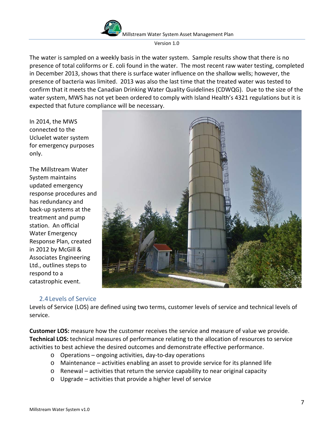

The water is sampled on a weekly basis in the water system. Sample results show that there is no presence of total coliforms or E. coli found in the water. The most recent raw water testing, completed in December 2013, shows that there is surface water influence on the shallow wells; however, the presence of bacteria was limited. 2013 was also the last time that the treated water was tested to confirm that it meets the Canadian Drinking Water Quality Guidelines (CDWQG). Due to the size of the water system, MWS has not yet been ordered to comply with Island Health's 4321 regulations but it is expected that future compliance will be necessary.

In 2014, the MWS connected to the Ucluelet water system for emergency purposes only.

The Millstream Water System maintains updated emergency response procedures and has redundancy and back-up systems at the treatment and pump station. An official Water Emergency Response Plan, created in 2012 by McGill & Associates Engineering Ltd., outlines steps to respond to a catastrophic event.



#### 2.4Levels of Service

<span id="page-6-0"></span>Levels of Service (LOS) are defined using two terms, customer levels of service and technical levels of service.

**Customer LOS:** measure how the customer receives the service and measure of value we provide. **Technical LOS:** technical measures of performance relating to the allocation of resources to service activities to best achieve the desired outcomes and demonstrate effective performance.

- o Operations ongoing activities, day-to-day operations
- o Maintenance activities enabling an asset to provide service for its planned life
- o Renewal activities that return the service capability to near original capacity
- o Upgrade activities that provide a higher level of service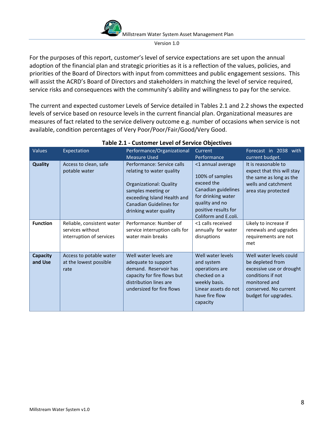Version 1.0

For the purposes of this report, customer's level of service expectations are set upon the annual adoption of the financial plan and strategic priorities as it is a reflection of the values, policies, and priorities of the Board of Directors with input from committees and public engagement sessions. This will assist the ACRD's Board of Directors and stakeholders in matching the level of service required, service risks and consequences with the community's ability and willingness to pay for the service.

The current and expected customer Levels of Service detailed in Tables 2.1 and 2.2 shows the expected levels of service based on resource levels in the current financial plan. Organizational measures are measures of fact related to the service delivery outcome e.g. number of occasions when service is not available, condition percentages of Very Poor/Poor/Fair/Good/Very Good.

| Values              | Expectation                                                                | Performance/Organizational<br><b>Measure Used</b>                                                                                                                                                   | <b>Current</b><br>Performance                                                                                                                                     | Forecast in 2038 with<br>current budget.                                                                                                                       |
|---------------------|----------------------------------------------------------------------------|-----------------------------------------------------------------------------------------------------------------------------------------------------------------------------------------------------|-------------------------------------------------------------------------------------------------------------------------------------------------------------------|----------------------------------------------------------------------------------------------------------------------------------------------------------------|
| <b>Quality</b>      | Access to clean, safe<br>potable water                                     | Performance: Service calls<br>relating to water quality<br><b>Organizational: Quality</b><br>samples meeting or<br>exceeding Island Health and<br>Canadian Guidelines for<br>drinking water quality | <1 annual average<br>100% of samples<br>exceed the<br>Canadian guidelines<br>for drinking water<br>quality and no<br>positive results for<br>Coliform and E.coli. | It is reasonable to<br>expect that this will stay<br>the same as long as the<br>wells and catchment<br>area stay protected                                     |
| <b>Function</b>     | Reliable, consistent water<br>services without<br>interruption of services | Performance: Number of<br>service interruption calls for<br>water main breaks                                                                                                                       | <1 calls received<br>annually for water<br>disruptions                                                                                                            | Likely to increase if<br>renewals and upgrades<br>requirements are not<br>met                                                                                  |
| Capacity<br>and Use | Access to potable water<br>at the lowest possible<br>rate                  | Well water levels are<br>adequate to support<br>demand. Reservoir has<br>capacity for fire flows but<br>distribution lines are<br>undersized for fire flows                                         | Well water levels<br>and system<br>operations are<br>checked on a<br>weekly basis.<br>Linear assets do not<br>have fire flow<br>capacity                          | Well water levels could<br>be depleted from<br>excessive use or drought<br>conditions if not<br>monitored and<br>conserved. No current<br>budget for upgrades. |

#### **Table 2.1 - Customer Level of Service Objectives**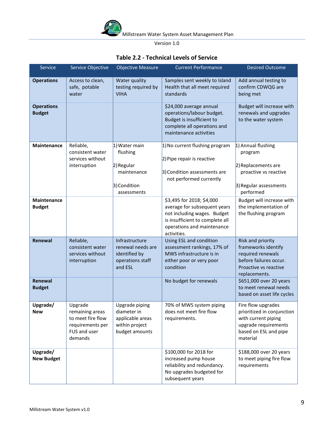

### **Table 2.2 - Technical Levels of Service**

| Service                             | Service Objective                                                                              | <b>Objective Measure</b>                                                                 | <b>Current Performance</b>                                                                                                                                               | <b>Desired Outcome</b>                                                                                                               |
|-------------------------------------|------------------------------------------------------------------------------------------------|------------------------------------------------------------------------------------------|--------------------------------------------------------------------------------------------------------------------------------------------------------------------------|--------------------------------------------------------------------------------------------------------------------------------------|
| <b>Operations</b>                   | Access to clean,<br>safe, potable<br>water                                                     | Water quality<br>testing required by<br><b>VIHA</b>                                      | Samples sent weekly to Island<br>Health that all meet required<br>standards                                                                                              | Add annual testing to<br>confirm CDWQG are<br>being met                                                                              |
| <b>Operations</b><br><b>Budget</b>  |                                                                                                |                                                                                          | \$24,000 average annual<br>operations/labour budget.<br>Budget is insufficient to<br>complete all operations and<br>maintenance activities                               | Budget will increase with<br>renewals and upgrades<br>to the water system                                                            |
| Maintenance                         | Reliable,<br>consistent water<br>services without<br>interruption                              | 1) Water main<br>flushing<br>$ 2)$ Regular<br>maintenance<br>3) Condition<br>assessments | 1) No current flushing program<br>2) Pipe repair is reactive<br>3) Condition assessments are<br>not performed currently                                                  | 1) Annual flushing<br>program<br>2) Replacements are<br>proactive vs reactive<br>3) Regular assessments<br>performed                 |
| <b>Maintenance</b><br><b>Budget</b> |                                                                                                |                                                                                          | \$3,495 for 2018; \$4,000<br>average for subsequent years<br>not including wages. Budget<br>is insufficient to complete all<br>operations and maintenance<br>activities. | Budget will increase with<br>the implementation of<br>the flushing program                                                           |
| Renewal                             | Reliable,<br>consistent water<br>services without<br>interruption                              | Infrastructure<br>renewal needs are<br>identified by<br>operations staff<br>and ESL      | Using ESL and condition<br>assessment rankings, 17% of<br>MWS infrastructure is in<br>either poor or very poor<br>condition                                              | Risk and priority<br>frameworks identify<br>required renewals<br>before failures occur.<br>Proactive vs reactive<br>replacements.    |
| Renewal<br><b>Budget</b>            |                                                                                                |                                                                                          | No budget for renewals                                                                                                                                                   | \$651,000 over 20 years<br>to meet renewal needs<br>based on asset life cycles                                                       |
| Upgrade/<br><b>New</b>              | Upgrade<br>remaining areas<br>to meet fire flow<br>requirements per<br>FUS and user<br>demands | Upgrade piping<br>diameter in<br>applicable areas<br>within project<br>budget amounts    | 70% of MWS system piping<br>does not meet fire flow<br>requirements.                                                                                                     | Fire flow upgrades<br>prioritized in conjunction<br>with current piping<br>upgrade requirements<br>based on ESL and pipe<br>material |
| Upgrade/<br><b>New Budget</b>       |                                                                                                |                                                                                          | \$100,000 for 2018 for<br>increased pump house<br>reliability and redundancy.<br>No upgrades budgeted for<br>subsequent years                                            | \$188,000 over 20 years<br>to meet piping fire flow<br>requirements                                                                  |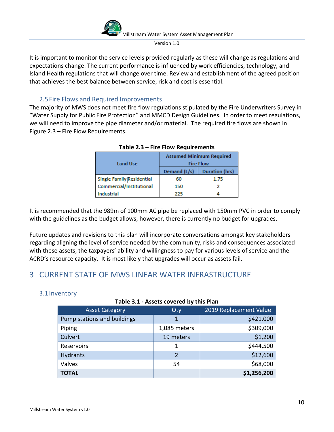Version 1.0

It is important to monitor the service levels provided regularly as these will change as regulations and expectations change. The current performance is influenced by work efficiencies, technology, and Island Health regulations that will change over time. Review and establishment of the agreed position that achieves the best balance between service, risk and cost is essential.

### 2.5Fire Flows and Required Improvements

<span id="page-9-0"></span>The majority of MWS does not meet fire flow regulations stipulated by the Fire Underwriters Survey in "Water Supply for Public Fire Protection" and MMCD Design Guidelines. In order to meet regulations, we will need to improve the pipe diameter and/or material. The required fire flows are shown in Figure 2.3 – Fire Flow Requirements.

| <b>Land Use</b>                  | <b>Assumed Minimum Required</b><br><b>Fire Flow</b> |                       |  |
|----------------------------------|-----------------------------------------------------|-----------------------|--|
|                                  | Demand (L/s)                                        | <b>Duration (hrs)</b> |  |
| <b>Single Family Residential</b> | 60                                                  | 1.75                  |  |
| Commercial/Institutional         | 150                                                 |                       |  |
| Industrial                       | フフち                                                 |                       |  |

|  |  | Table 2.3 - Fire Flow Requirements |
|--|--|------------------------------------|
|  |  |                                    |

It is recommended that the 989m of 100mm AC pipe be replaced with 150mm PVC in order to comply with the guidelines as the budget allows; however, there is currently no budget for upgrades.

Future updates and revisions to this plan will incorporate conversations amongst key stakeholders regarding aligning the level of service needed by the community, risks and consequences associated with these assets, the taxpayers' ability and willingness to pay for various levels of service and the ACRD's resource capacity. It is most likely that upgrades will occur as assets fail.

# <span id="page-9-1"></span>3 CURRENT STATE OF MWS LINEAR WATER INFRASTRUCTURE

#### <span id="page-9-2"></span>3.1Inventory

#### **Table 3.1 - Assets covered by this Plan**

| <b>Asset Category</b>       | Qty          | 2019 Replacement Value |  |  |
|-----------------------------|--------------|------------------------|--|--|
| Pump stations and buildings | 1            | \$421,000              |  |  |
| Piping                      | 1,085 meters | \$309,000              |  |  |
| Culvert                     | 19 meters    | \$1,200                |  |  |
| Reservoirs                  | 1            | \$444,500              |  |  |
| <b>Hydrants</b>             |              | \$12,600               |  |  |
| Valves                      | 54           | \$68,000               |  |  |
| <b>TOTAL</b>                |              | \$1,256,200            |  |  |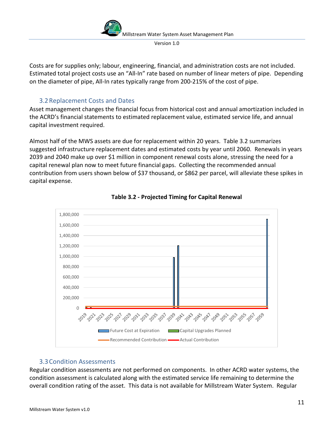Version 1.0

Costs are for supplies only; labour, engineering, financial, and administration costs are not included. Estimated total project costs use an "All-In" rate based on number of linear meters of pipe. Depending on the diameter of pipe, All-In rates typically range from 200-215% of the cost of pipe.

### 3.2Replacement Costs and Dates

<span id="page-10-0"></span>Asset management changes the financial focus from historical cost and annual amortization included in the ACRD's financial statements to estimated replacement value, estimated service life, and annual capital investment required.

Almost half of the MWS assets are due for replacement within 20 years. Table 3.2 summarizes suggested infrastructure replacement dates and estimated costs by year until 2060. Renewals in years 2039 and 2040 make up over \$1 million in component renewal costs alone, stressing the need for a capital renewal plan now to meet future financial gaps. Collecting the recommended annual contribution from users shown below of \$37 thousand, or \$862 per parcel, will alleviate these spikes in capital expense.





#### <span id="page-10-1"></span>3.3Condition Assessments

Regular condition assessments are not performed on components. In other ACRD water systems, the condition assessment is calculated along with the estimated service life remaining to determine the overall condition rating of the asset. This data is not available for Millstream Water System. Regular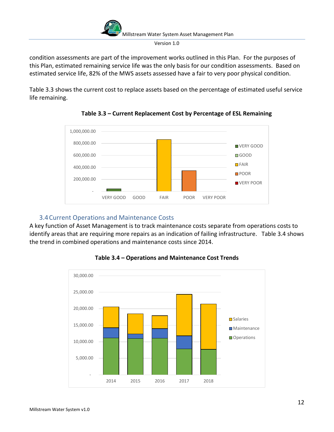condition assessments are part of the improvement works outlined in this Plan. For the purposes of this Plan, estimated remaining service life was the only basis for our condition assessments. Based on estimated service life, 82% of the MWS assets assessed have a fair to very poor physical condition.

Table 3.3 shows the current cost to replace assets based on the percentage of estimated useful service life remaining.



**Table 3.3 – Current Replacement Cost by Percentage of ESL Remaining**

# <span id="page-11-0"></span>3.4Current Operations and Maintenance Costs

A key function of Asset Management is to track maintenance costs separate from operations costs to identify areas that are requiring more repairs as an indication of failing infrastructure. Table 3.4 shows the trend in combined operations and maintenance costs since 2014.



**Table 3.4 – Operations and Maintenance Cost Trends**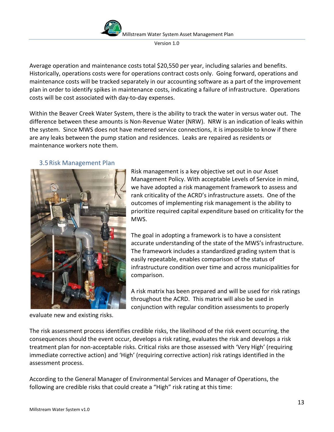Version 1.0

Average operation and maintenance costs total \$20,550 per year, including salaries and benefits. Historically, operations costs were for operations contract costs only. Going forward, operations and maintenance costs will be tracked separately in our accounting software as a part of the improvement plan in order to identify spikes in maintenance costs, indicating a failure of infrastructure. Operations costs will be cost associated with day-to-day expenses.

Within the Beaver Creek Water System, there is the ability to track the water in versus water out. The difference between these amounts is Non-Revenue Water (NRW). NRW is an indication of leaks within the system. Since MWS does not have metered service connections, it is impossible to know if there are any leaks between the pump station and residences. Leaks are repaired as residents or maintenance workers note them.

#### <span id="page-12-0"></span>3.5Risk Management Plan



Risk management is a key objective set out in our Asset Management Policy. With acceptable Levels of Service in mind, we have adopted a risk management framework to assess and rank criticality of the ACRD's infrastructure assets. One of the outcomes of implementing risk management is the ability to prioritize required capital expenditure based on criticality for the MWS.

The goal in adopting a framework is to have a consistent accurate understanding of the state of the MWS's infrastructure. The framework includes a standardized grading system that is easily repeatable, enables comparison of the status of infrastructure condition over time and across municipalities for comparison.

A risk matrix has been prepared and will be used for risk ratings throughout the ACRD. This matrix will also be used in conjunction with regular condition assessments to properly

evaluate new and existing risks.

The risk assessment process identifies credible risks, the likelihood of the risk event occurring, the consequences should the event occur, develops a risk rating, evaluates the risk and develops a risk treatment plan for non-acceptable risks. Critical risks are those assessed with 'Very High' (requiring immediate corrective action) and 'High' (requiring corrective action) risk ratings identified in the assessment process.

According to the General Manager of Environmental Services and Manager of Operations, the following are credible risks that could create a "High" risk rating at this time: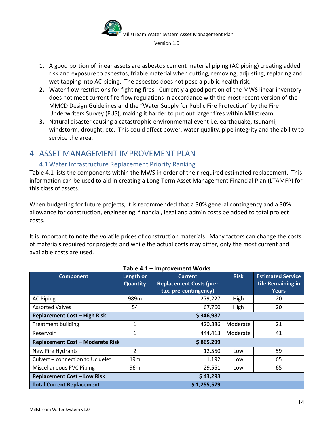

- **1.** A good portion of linear assets are asbestos cement material piping (AC piping) creating added risk and exposure to asbestos, friable material when cutting, removing, adjusting, replacing and wet tapping into AC piping. The asbestos does not pose a public health risk.
- **2.** Water flow restrictions for fighting fires. Currently a good portion of the MWS linear inventory does not meet current fire flow regulations in accordance with the most recent version of the MMCD Design Guidelines and the "Water Supply for Public Fire Protection" by the Fire Underwriters Survey (FUS), making it harder to put out larger fires within Millstream.
- **3.** Natural disaster causing a catastrophic environmental event i.e. earthquake, tsunami, windstorm, drought, etc. This could affect power, water quality, pipe integrity and the ability to service the area.

# <span id="page-13-0"></span>4 ASSET MANAGEMENT IMPROVEMENT PLAN

# <span id="page-13-1"></span>4.1Water Infrastructure Replacement Priority Ranking

Table 4.1 lists the components within the MWS in order of their required estimated replacement. This information can be used to aid in creating a Long-Term Asset Management Financial Plan (LTAMFP) for this class of assets.

When budgeting for future projects, it is recommended that a 30% general contingency and a 30% allowance for construction, engineering, financial, legal and admin costs be added to total project costs.

It is important to note the volatile prices of construction materials. Many factors can change the costs of materials required for projects and while the actual costs may differ, only the most current and available costs are used.

| p. 0 . 66 0. 9                          |                 |                                |             |                          |  |  |
|-----------------------------------------|-----------------|--------------------------------|-------------|--------------------------|--|--|
| <b>Component</b>                        | Length or       | <b>Current</b>                 | <b>Risk</b> | <b>Estimated Service</b> |  |  |
|                                         | <b>Quantity</b> | <b>Replacement Costs (pre-</b> |             | <b>Life Remaining in</b> |  |  |
|                                         |                 | tax, pre-contingency)          |             | <b>Years</b>             |  |  |
| <b>AC Piping</b>                        | 989m            | 279,227                        | High        | 20                       |  |  |
| <b>Assorted Valves</b>                  | 54              | 67,760                         | High        | 20                       |  |  |
| <b>Replacement Cost - High Risk</b>     |                 | \$346,987                      |             |                          |  |  |
| <b>Treatment building</b>               | 1               | 420,886                        | Moderate    | 21                       |  |  |
| Reservoir                               | 1               | 444,413                        | Moderate    | 41                       |  |  |
| <b>Replacement Cost - Moderate Risk</b> |                 | \$865,299                      |             |                          |  |  |
| New Fire Hydrants                       | 2               | 12,550                         | Low         | 59                       |  |  |
| Culvert - connection to Ucluelet        | 19 <sub>m</sub> | 1,192                          | Low         | 65                       |  |  |
| <b>Miscellaneous PVC Piping</b>         | 96m             | 29,551                         | Low         | 65                       |  |  |
| <b>Replacement Cost - Low Risk</b>      | \$43,293        |                                |             |                          |  |  |
| <b>Total Current Replacement</b>        | \$1,255,579     |                                |             |                          |  |  |

#### **Table 4.1 – Improvement Works**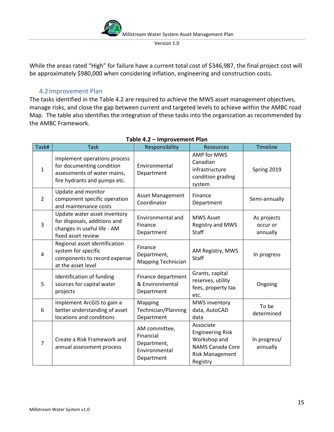While the areas rated "High" for failure have a current total cost of \$346,987, the final project cost will be approximately \$980,000 when considering inflation, engineering and construction costs.

#### 4.2Improvement Plan

<span id="page-14-0"></span>The tasks identified in the Table 4.2 are required to achieve the MWS asset management objectives, manage risks, and close the gap between current and targeted levels to achieve within the AMBC road Map. The table also identifies the integration of these tasks into the organization as recommended by the AMBC Framework.

| Task#          | <b>Task</b>                                                                                                              | Responsibility                                                           | <b>Resources</b>                                                                                                      | <b>Timeline</b>                     |
|----------------|--------------------------------------------------------------------------------------------------------------------------|--------------------------------------------------------------------------|-----------------------------------------------------------------------------------------------------------------------|-------------------------------------|
| $\mathbf{1}$   | Implement operations process<br>for documenting condition<br>assessments of water mains,<br>fire hydrants and pumps etc. | Environmental<br>Department                                              | <b>AMP for MWS</b><br>Canadian<br>infrastructure<br>condition grading<br>system                                       | Spring 2019                         |
| $\overline{2}$ | Update and monitor<br>component specific operation<br>and maintenance costs                                              | <b>Asset Management</b><br>Coordinator                                   | Finance<br>Department                                                                                                 | Semi-annually                       |
| 3              | Update water asset inventory<br>for disposals, additions and<br>changes in useful life - AM<br>fixed asset review        | Environmental and<br>Finance<br>Department                               | <b>MWS Asset</b><br>Registry and MWS<br><b>Staff</b>                                                                  | As projects<br>occur or<br>annually |
| 4              | Regional asset identification<br>system for specific<br>components to record expense<br>at the asset level               | Finance<br>Department,<br><b>Mapping Technician</b>                      | AM Registry, MWS<br><b>Staff</b>                                                                                      | In progress                         |
| 5              | Identification of funding<br>sources for capital water<br>projects                                                       | Finance department<br>& Environmental<br>Department                      | Grants, capital<br>reserves, utility<br>fees, property tax<br>etc.                                                    | Ongoing                             |
| 6              | Implement ArcGIS to gain a<br>better understanding of asset<br>locations and conditions                                  | Mapping<br>Technician/Planning<br>Department                             | <b>MWS inventory</b><br>data, AutoCAD<br>data                                                                         | To be<br>determined                 |
| $\overline{7}$ | Create a Risk Framework and<br>annual assessment process                                                                 | AM committee,<br>Financial<br>Department,<br>Environmental<br>Department | Associate<br><b>Engineering Risk</b><br>Workshop and<br><b>NAMS Canada Core</b><br><b>Risk Management</b><br>Registry | In progress/<br>annually            |

#### **Table 4.2 – Improvement Plan**